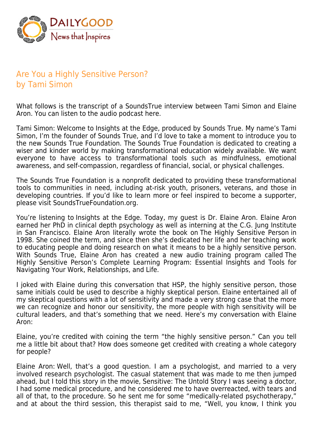

## Are You a Highly Sensitive Person? by Tami Simon

What follows is the transcript of a SoundsTrue interview between Tami Simon and Elaine Aron. You can listen to the audio podcast here.

Tami Simon: Welcome to Insights at the Edge, produced by Sounds True. My name's Tami Simon, I'm the founder of Sounds True, and I'd love to take a moment to introduce you to the new Sounds True Foundation. The Sounds True Foundation is dedicated to creating a wiser and kinder world by making transformational education widely available. We want everyone to have access to transformational tools such as mindfulness, emotional awareness, and self-compassion, regardless of financial, social, or physical challenges.

The Sounds True Foundation is a nonprofit dedicated to providing these transformational tools to communities in need, including at-risk youth, prisoners, veterans, and those in developing countries. If you'd like to learn more or feel inspired to become a supporter, please visit SoundsTrueFoundation.org.

You're listening to Insights at the Edge. Today, my guest is Dr. Elaine Aron. Elaine Aron earned her PhD in clinical depth psychology as well as interning at the C.G. Jung Institute in San Francisco. Elaine Aron literally wrote the book on The Highly Sensitive Person in 1998. She coined the term, and since then she's dedicated her life and her teaching work to educating people and doing research on what it means to be a highly sensitive person. With Sounds True, Elaine Aron has created a new audio training program called The Highly Sensitive Person's Complete Learning Program: Essential Insights and Tools for Navigating Your Work, Relationships, and Life.

I joked with Elaine during this conversation that HSP, the highly sensitive person, those same initials could be used to describe a highly skeptical person. Elaine entertained all of my skeptical questions with a lot of sensitivity and made a very strong case that the more we can recognize and honor our sensitivity, the more people with high sensitivity will be cultural leaders, and that's something that we need. Here's my conversation with Elaine Aron:

Elaine, you're credited with coining the term "the highly sensitive person." Can you tell me a little bit about that? How does someone get credited with creating a whole category for people?

Elaine Aron: Well, that's a good question. I am a psychologist, and married to a very involved research psychologist. The casual statement that was made to me then jumped ahead, but I told this story in the movie, Sensitive: The Untold Story I was seeing a doctor, I had some medical procedure, and he considered me to have overreacted, with tears and all of that, to the procedure. So he sent me for some "medically-related psychotherapy," and at about the third session, this therapist said to me, "Well, you know, I think you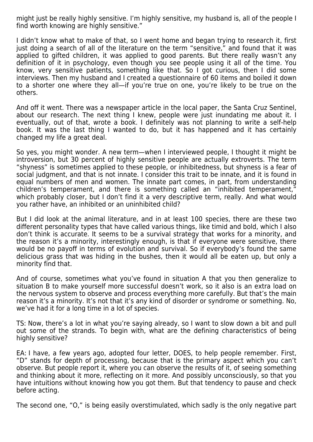might just be really highly sensitive. I'm highly sensitive, my husband is, all of the people I find worth knowing are highly sensitive."

I didn't know what to make of that, so I went home and began trying to research it, first just doing a search of all of the literature on the term "sensitive," and found that it was applied to gifted children, it was applied to good parents. But there really wasn't any definition of it in psychology, even though you see people using it all of the time. You know, very sensitive patients, something like that. So I got curious, then I did some interviews. Then my husband and I created a questionnaire of 60 items and boiled it down to a shorter one where they all—if you're true on one, you're likely to be true on the others.

And off it went. There was a newspaper article in the local paper, the Santa Cruz Sentinel, about our research. The next thing I knew, people were just inundating me about it. I eventually, out of that, wrote a book. I definitely was not planning to write a self-help book. It was the last thing I wanted to do, but it has happened and it has certainly changed my life a great deal.

So yes, you might wonder. A new term—when I interviewed people, I thought it might be introversion, but 30 percent of highly sensitive people are actually extroverts. The term "shyness" is sometimes applied to these people, or inhibitedness, but shyness is a fear of social judgment, and that is not innate. I consider this trait to be innate, and it is found in equal numbers of men and women. The innate part comes, in part, from understanding children's temperament, and there is something called an "inhibited temperament," which probably closer, but I don't find it a very descriptive term, really. And what would you rather have, an inhibited or an uninhibited child?

But I did look at the animal literature, and in at least 100 species, there are these two different personality types that have called various things, like timid and bold, which I also don't think is accurate. It seems to be a survival strategy that works for a minority, and the reason it's a minority, interestingly enough, is that if everyone were sensitive, there would be no payoff in terms of evolution and survival. So if everybody's found the same delicious grass that was hiding in the bushes, then it would all be eaten up, but only a minority find that.

And of course, sometimes what you've found in situation A that you then generalize to situation B to make yourself more successful doesn't work, so it also is an extra load on the nervous system to observe and process everything more carefully. But that's the main reason it's a minority. It's not that it's any kind of disorder or syndrome or something. No, we've had it for a long time in a lot of species.

TS: Now, there's a lot in what you're saying already, so I want to slow down a bit and pull out some of the strands. To begin with, what are the defining characteristics of being highly sensitive?

EA: I have, a few years ago, adopted four letter, DOES, to help people remember. First, "D" stands for depth of processing, because that is the primary aspect which you can't observe. But people report it, where you can observe the results of it, of seeing something and thinking about it more, reflecting on it more. And possibly unconsciously, so that you have intuitions without knowing how you got them. But that tendency to pause and check before acting.

The second one, "O," is being easily overstimulated, which sadly is the only negative part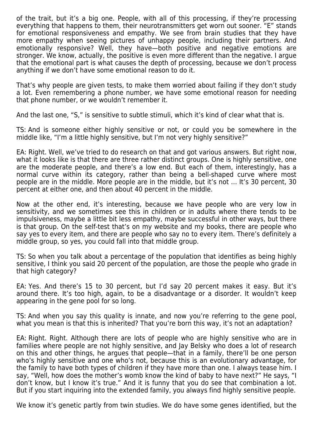of the trait, but it's a big one. People, with all of this processing, if they're processing everything that happens to them, their neurotransmitters get worn out sooner. "E" stands for emotional responsiveness and empathy. We see from brain studies that they have more empathy when seeing pictures of unhappy people, including their partners. And emotionally responsive? Well, they have—both positive and negative emotions are stronger. We know, actually, the positive is even more different than the negative. I argue that the emotional part is what causes the depth of processing, because we don't process anything if we don't have some emotional reason to do it.

That's why people are given tests, to make them worried about failing if they don't study a lot. Even remembering a phone number, we have some emotional reason for needing that phone number, or we wouldn't remember it.

And the last one, "S," is sensitive to subtle stimuli, which it's kind of clear what that is.

TS: And is someone either highly sensitive or not, or could you be somewhere in the middle like, "I'm a little highly sensitive, but I'm not very highly sensitive?"

EA: Right. Well, we've tried to do research on that and got various answers. But right now, what it looks like is that there are three rather distinct groups. One is highly sensitive, one are the moderate people, and there's a low end. But each of them, interestingly, has a normal curve within its category, rather than being a bell-shaped curve where most people are in the middle. More people are in the middle, but it's not … It's 30 percent, 30 percent at either one, and then about 40 percent in the middle.

Now at the other end, it's interesting, because we have people who are very low in sensitivity, and we sometimes see this in children or in adults where there tends to be impulsiveness, maybe a little bit less empathy, maybe successful in other ways, but there is that group. On the self-test that's on my website and my books, there are people who say yes to every item, and there are people who say no to every item. There's definitely a middle group, so yes, you could fall into that middle group.

TS: So when you talk about a percentage of the population that identifies as being highly sensitive, I think you said 20 percent of the population, are those the people who grade in that high category?

EA: Yes. And there's 15 to 30 percent, but I'd say 20 percent makes it easy. But it's around there. It's too high, again, to be a disadvantage or a disorder. It wouldn't keep appearing in the gene pool for so long.

TS: And when you say this quality is innate, and now you're referring to the gene pool, what you mean is that this is inherited? That you're born this way, it's not an adaptation?

EA: Right. Right. Although there are lots of people who are highly sensitive who are in families where people are not highly sensitive, and Jay Belsky who does a lot of research on this and other things, he argues that people—that in a family, there'll be one person who's highly sensitive and one who's not, because this is an evolutionary advantage, for the family to have both types of children if they have more than one. I always tease him. I say, "Well, how does the mother's womb know the kind of baby to have next?" He says, "I don't know, but I know it's true." And it is funny that you do see that combination a lot. But if you start inquiring into the extended family, you always find highly sensitive people.

We know it's genetic partly from twin studies. We do have some genes identified, but the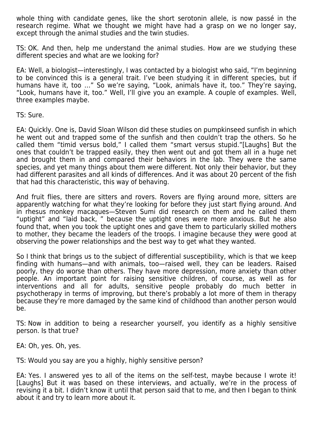whole thing with candidate genes, like the short serotonin allele, is now passé in the research regime. What we thought we might have had a grasp on we no longer say, except through the animal studies and the twin studies.

TS: OK. And then, help me understand the animal studies. How are we studying these different species and what are we looking for?

EA: Well, a biologist—interestingly, I was contacted by a biologist who said, "I'm beginning to be convinced this is a general trait. I've been studying it in different species, but if humans have it, too ..." So we're saying, "Look, animals have it, too." They're saying, "Look, humans have it, too." Well, I'll give you an example. A couple of examples. Well, three examples maybe.

TS: Sure.

EA: Quickly. One is, David Sloan Wilson did these studies on pumpkinseed sunfish in which he went out and trapped some of the sunfish and then couldn't trap the others. So he called them "timid versus bold," I called them "smart versus stupid."[Laughs] But the ones that couldn't be trapped easily, they then went out and got them all in a huge net and brought them in and compared their behaviors in the lab. They were the same species, and yet many things about them were different. Not only their behavior, but they had different parasites and all kinds of differences. And it was about 20 percent of the fish that had this characteristic, this way of behaving.

And fruit flies, there are sitters and rovers. Rovers are flying around more, sitters are apparently watching for what they're looking for before they just start flying around. And in rhesus monkey macaques—Steven Sumi did research on them and he called them "uptight" and "laid back, " because the uptight ones were more anxious. But he also found that, when you took the uptight ones and gave them to particularly skilled mothers to mother, they became the leaders of the troops. I imagine because they were good at observing the power relationships and the best way to get what they wanted.

So I think that brings us to the subject of differential susceptibility, which is that we keep finding with humans—and with animals, too—raised well, they can be leaders. Raised poorly, they do worse than others. They have more depression, more anxiety than other people. An important point for raising sensitive children, of course, as well as for interventions and all for adults, sensitive people probably do much better in psychotherapy in terms of improving, but there's probably a lot more of them in therapy because they're more damaged by the same kind of childhood than another person would be.

TS: Now in addition to being a researcher yourself, you identify as a highly sensitive person. Is that true?

EA: Oh, yes. Oh, yes.

TS: Would you say are you a highly, highly sensitive person?

EA: Yes. I answered yes to all of the items on the self-test, maybe because I wrote it! [Laughs] But it was based on these interviews, and actually, we're in the process of revising it a bit. I didn't know it until that person said that to me, and then I began to think about it and try to learn more about it.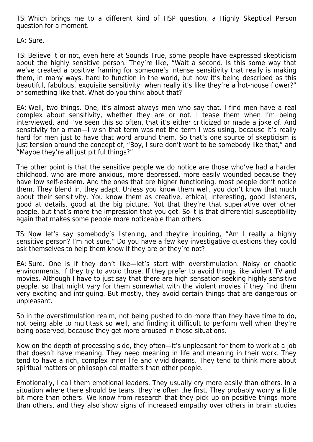TS: Which brings me to a different kind of HSP question, a Highly Skeptical Person question for a moment.

EA: Sure.

TS: Believe it or not, even here at Sounds True, some people have expressed skepticism about the highly sensitive person. They're like, "Wait a second. Is this some way that we've created a positive framing for someone's intense sensitivity that really is making them, in many ways, hard to function in the world, but now it's being described as this beautiful, fabulous, exquisite sensitivity, when really it's like they're a hot-house flower?" or something like that. What do you think about that?

EA: Well, two things. One, it's almost always men who say that. I find men have a real complex about sensitivity, whether they are or not. I tease them when I'm being interviewed, and I've seen this so often, that it's either criticized or made a joke of. And sensitivity for a man—I wish that term was not the term I was using, because it's really hard for men just to have that word around them. So that's one source of skepticism is just tension around the concept of, "Boy, I sure don't want to be somebody like that," and "Maybe they're all just pitiful things?"

The other point is that the sensitive people we do notice are those who've had a harder childhood, who are more anxious, more depressed, more easily wounded because they have low self-esteem. And the ones that are higher functioning, most people don't notice them. They blend in, they adapt. Unless you know them well, you don't know that much about their sensitivity. You know them as creative, ethical, interesting, good listeners, good at details, good at the big picture. Not that they're that superlative over other people, but that's more the impression that you get. So it is that differential susceptibility again that makes some people more noticeable than others.

TS: Now let's say somebody's listening, and they're inquiring, "Am I really a highly sensitive person? I'm not sure." Do you have a few key investigative questions they could ask themselves to help them know if they are or they're not?

EA: Sure. One is if they don't like—let's start with overstimulation. Noisy or chaotic environments, if they try to avoid those. If they prefer to avoid things like violent TV and movies. Although I have to just say that there are high sensation-seeking highly sensitive people, so that might vary for them somewhat with the violent movies if they find them very exciting and intriguing. But mostly, they avoid certain things that are dangerous or unpleasant.

So in the overstimulation realm, not being pushed to do more than they have time to do, not being able to multitask so well, and finding it difficult to perform well when they're being observed, because they get more aroused in those situations.

Now on the depth of processing side, they often—it's unpleasant for them to work at a job that doesn't have meaning. They need meaning in life and meaning in their work. They tend to have a rich, complex inner life and vivid dreams. They tend to think more about spiritual matters or philosophical matters than other people.

Emotionally, I call them emotional leaders. They usually cry more easily than others. In a situation where there should be tears, they're often the first. They probably worry a little bit more than others. We know from research that they pick up on positive things more than others, and they also show signs of increased empathy over others in brain studies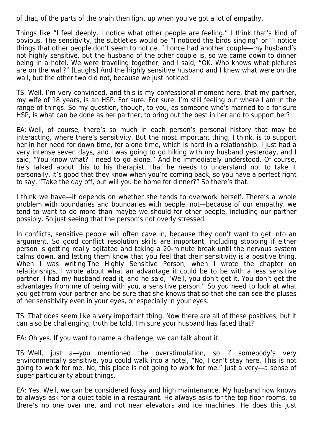of that, of the parts of the brain then light up when you've got a lot of empathy.

Things like "I feel deeply. I notice what other people are feeling." I think that's kind of obvious. The sensitivity, the subtleties would be "I noticed the birds singing" or "I notice things that other people don't seem to notice. " I once had another couple—my husband's not highly sensitive, but the husband of the other couple is, so we came down to dinner being in a hotel. We were traveling together, and I said, "OK. Who knows what pictures are on the wall?" [Laughs] And the highly sensitive husband and I knew what were on the wall, but the other two did not, because we just noticed.

TS: Well, I'm very convinced, and this is my confessional moment here, that my partner, my wife of 18 years, is an HSP. For sure. For sure. I'm still feeling out where I am in the range of things. So my question, though, to you, as someone who's married to a for-sure HSP, is what can be done as her partner, to bring out the best in her and to support her?

EA: Well, of course, there's so much in each person's personal history that may be interacting, where there's sensitivity. But the most important thing, I think, is to support her in her need for down time, for alone time, which is hard in a relationship. I just had a very intense seven days, and I was going to go hiking with my husband yesterday, and I said, "You know what? I need to go alone." And he immediately understood. Of course, he's talked about this to his therapist, that he needs to understand not to take it personally. It's good that they know when you're coming back, so you have a perfect right to say, "Take the day off, but will you be home for dinner?" So there's that.

I think we have—it depends on whether she tends to overwork herself. There's a whole problem with boundaries and boundaries with people, not—because of our empathy, we tend to want to do more than maybe we should for other people, including our partner possibly. So just seeing that the person's not overly stressed.

In conflicts, sensitive people will often cave in, because they don't want to get into an argument. So good conflict resolution skills are important, including stopping if either person is getting really agitated and taking a 20-minute break until the nervous system calms down, and letting them know that you feel that their sensitivity is a positive thing. When I was writing The Highly Sensitive Person, when I wrote the chapter on relationships, I wrote about what an advantage it could be to be with a less sensitive partner. I had my husband read it, and he said, "Well, you don't get it. You don't get the advantages from me of being with you, a sensitive person." So you need to look at what you get from your partner and be sure that she knows that so that she can see the pluses of her sensitivity even in your eyes, or especially in your eyes.

TS: That does seem like a very important thing. Now there are all of these positives, but it can also be challenging, truth be told. I'm sure your husband has faced that?

EA: Oh yes. If you want to name a challenge, we can talk about it.

TS: Well, just a—you mentioned the overstimulation, so if somebody's very environmentally sensitive, you could walk into a hotel, "No, I can't stay here. This is not going to work for me. No, this place is not going to work for me." Just a very—a sense of super particularity about things.

EA: Yes. Well, we can be considered fussy and high maintenance. My husband now knows to always ask for a quiet table in a restaurant. He always asks for the top floor rooms, so there's no one over me, and not near elevators and ice machines. He does this just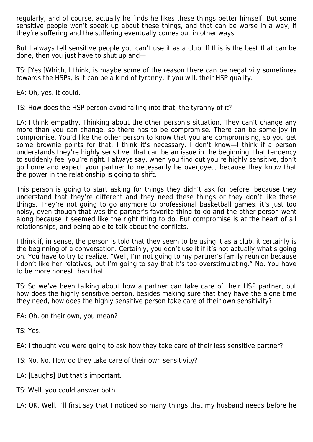regularly, and of course, actually he finds he likes these things better himself. But some sensitive people won't speak up about these things, and that can be worse in a way, if they're suffering and the suffering eventually comes out in other ways.

But I always tell sensitive people you can't use it as a club. If this is the best that can be done, then you just have to shut up and—

TS: [Yes.]Which, I think, is maybe some of the reason there can be negativity sometimes towards the HSPs, is it can be a kind of tyranny, if you will, their HSP quality.

EA: Oh, yes. It could.

TS: How does the HSP person avoid falling into that, the tyranny of it?

EA: I think empathy. Thinking about the other person's situation. They can't change any more than you can change, so there has to be compromise. There can be some joy in compromise. You'd like the other person to know that you are compromising, so you get some brownie points for that. I think it's necessary. I don't know—I think if a person understands they're highly sensitive, that can be an issue in the beginning, that tendency to suddenly feel you're right. I always say, when you find out you're highly sensitive, don't go home and expect your partner to necessarily be overjoyed, because they know that the power in the relationship is going to shift.

This person is going to start asking for things they didn't ask for before, because they understand that they're different and they need these things or they don't like these things. They're not going to go anymore to professional basketball games, it's just too noisy, even though that was the partner's favorite thing to do and the other person went along because it seemed like the right thing to do. But compromise is at the heart of all relationships, and being able to talk about the conflicts.

I think if, in sense, the person is told that they seem to be using it as a club, it certainly is the beginning of a conversation. Certainly, you don't use it if it's not actually what's going on. You have to try to realize, "Well, I'm not going to my partner's family reunion because I don't like her relatives, but I'm going to say that it's too overstimulating." No. You have to be more honest than that.

TS: So we've been talking about how a partner can take care of their HSP partner, but how does the highly sensitive person, besides making sure that they have the alone time they need, how does the highly sensitive person take care of their own sensitivity?

EA: Oh, on their own, you mean?

TS: Yes.

EA: I thought you were going to ask how they take care of their less sensitive partner?

- TS: No. No. How do they take care of their own sensitivity?
- EA: [Laughs] But that's important.
- TS: Well, you could answer both.

EA: OK. Well, I'll first say that I noticed so many things that my husband needs before he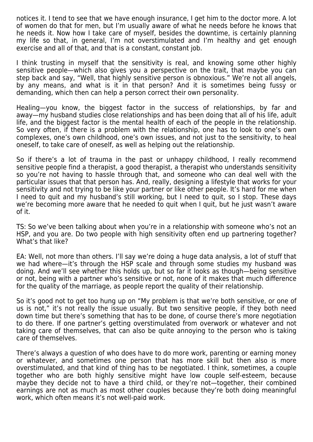notices it. I tend to see that we have enough insurance, I get him to the doctor more. A lot of women do that for men, but I'm usually aware of what he needs before he knows that he needs it. Now how I take care of myself, besides the downtime, is certainly planning my life so that, in general, I'm not overstimulated and I'm healthy and get enough exercise and all of that, and that is a constant, constant job.

I think trusting in myself that the sensitivity is real, and knowing some other highly sensitive people—which also gives you a perspective on the trait, that maybe you can step back and say, "Well, that highly sensitive person is obnoxious." We're not all angels, by any means, and what is it in that person? And it is sometimes being fussy or demanding, which then can help a person correct their own personality.

Healing—you know, the biggest factor in the success of relationships, by far and away—my husband studies close relationships and has been doing that all of his life, adult life, and the biggest factor is the mental health of each of the people in the relationship. So very often, if there is a problem with the relationship, one has to look to one's own complexes, one's own childhood, one's own issues, and not just to the sensitivity, to heal oneself, to take care of oneself, as well as helping out the relationship.

So if there's a lot of trauma in the past or unhappy childhood, I really recommend sensitive people find a therapist, a good therapist, a therapist who understands sensitivity so you're not having to hassle through that, and someone who can deal well with the particular issues that that person has. And, really, designing a lifestyle that works for your sensitivity and not trying to be like your partner or like other people. It's hard for me when I need to quit and my husband's still working, but I need to quit, so I stop. These days we're becoming more aware that he needed to quit when I quit, but he just wasn't aware of it.

TS: So we've been talking about when you're in a relationship with someone who's not an HSP, and you are. Do two people with high sensitivity often end up partnering together? What's that like?

EA: Well, not more than others. I'll say we're doing a huge data analysis, a lot of stuff that we had where—it's through the HSP scale and through some studies my husband was doing. And we'll see whether this holds up, but so far it looks as though—being sensitive or not, being with a partner who's sensitive or not, none of it makes that much difference for the quality of the marriage, as people report the quality of their relationship.

So it's good not to get too hung up on "My problem is that we're both sensitive, or one of us is not," it's not really the issue usually. But two sensitive people, if they both need down time but there's something that has to be done, of course there's more negotiation to do there. If one partner's getting overstimulated from overwork or whatever and not taking care of themselves, that can also be quite annoying to the person who is taking care of themselves.

There's always a question of who does have to do more work, parenting or earning money or whatever, and sometimes one person that has more skill but then also is more overstimulated, and that kind of thing has to be negotiated. I think, sometimes, a couple together who are both highly sensitive might have low couple self-esteem, because maybe they decide not to have a third child, or they're not—together, their combined earnings are not as much as most other couples because they're both doing meaningful work, which often means it's not well-paid work.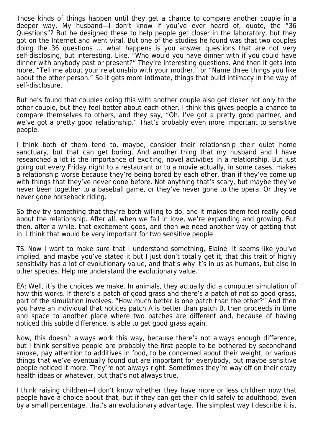Those kinds of things happen until they get a chance to compare another couple in a deeper way. My husband—I don't know if you've ever heard of, quote, the "36 Questions"? But he designed these to help people get closer in the laboratory, but they got on the Internet and went viral. But one of the studies he found was that two couples doing the 36 questions … what happens is you answer questions that are not very self-disclosing, but interesting. Like, "Who would you have dinner with if you could have dinner with anybody past or present?" They're interesting questions. And then it gets into more, "Tell me about your relationship with your mother," or "Name three things you like about the other person." So it gets more intimate, things that build intimacy in the way of self-disclosure.

But he's found that couples doing this with another couple also get closer not only to the other couple, but they feel better about each other. I think this gives people a chance to compare themselves to others, and they say, "Oh. I've got a pretty good partner, and we've got a pretty good relationship." That's probably even more important to sensitive people.

I think both of them tend to, maybe, consider their relationship their quiet home sanctuary, but that can get boring. And another thing that my husband and I have researched a lot is the importance of exciting, novel activities in a relationship. But just going out every Friday night to a restaurant or to a movie actually, in some cases, makes a relationship worse because they're being bored by each other, than if they've come up with things that they've never done before. Not anything that's scary, but maybe they've never been together to a baseball game, or they've never gone to the opera. Or they've never gone horseback riding.

So they try something that they're both willing to do, and it makes them feel really good about the relationship. After all, when we fall in love, we're expanding and growing. But then, after a while, that excitement goes, and then we need another way of getting that in. I think that would be very important for two sensitive people.

TS: Now I want to make sure that I understand something, Elaine. It seems like you've implied, and maybe you've stated it but I just don't totally get it, that this trait of highly sensitivity has a lot of evolutionary value, and that's why it's in us as humans, but also in other species. Help me understand the evolutionary value.

EA: Well, it's the choices we make. In animals, they actually did a computer simulation of how this works. If there's a patch of good grass and there's a patch of not so good grass, part of the simulation involves, "How much better is one patch than the other?" And then you have an individual that notices patch A is better than patch B, then proceeds in time and space to another place where two patches are different and, because of having noticed this subtle difference, is able to get good grass again.

Now, this doesn't always work this way, because there's not always enough difference, but I think sensitive people are probably the first people to be bothered by secondhand smoke, pay attention to additives in food, to be concerned about their weight, or various things that we've eventually found out are important for everybody, but maybe sensitive people noticed it more. They're not always right. Sometimes they're way off on their crazy health ideas or whatever, but that's not always true.

I think raising children—I don't know whether they have more or less children now that people have a choice about that, but if they can get their child safely to adulthood, even by a small percentage, that's an evolutionary advantage. The simplest way I describe it is,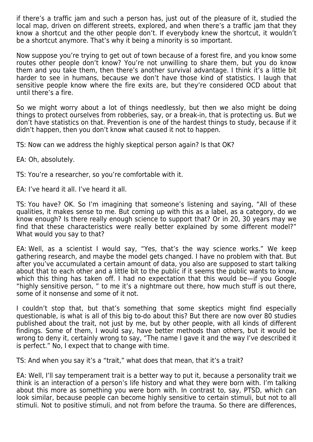if there's a traffic jam and such a person has, just out of the pleasure of it, studied the local map, driven on different streets, explored, and when there's a traffic jam that they know a shortcut and the other people don't. If everybody knew the shortcut, it wouldn't be a shortcut anymore. That's why it being a minority is so important.

Now suppose you're trying to get out of town because of a forest fire, and you know some routes other people don't know? You're not unwilling to share them, but you do know them and you take them, then there's another survival advantage. I think it's a little bit harder to see in humans, because we don't have those kind of statistics. I laugh that sensitive people know where the fire exits are, but they're considered OCD about that until there's a fire.

So we might worry about a lot of things needlessly, but then we also might be doing things to protect ourselves from robberies, say, or a break-in, that is protecting us. But we don't have statistics on that. Prevention is one of the hardest things to study, because if it didn't happen, then you don't know what caused it not to happen.

TS: Now can we address the highly skeptical person again? Is that OK?

EA: Oh, absolutely.

TS: You're a researcher, so you're comfortable with it.

EA: I've heard it all. I've heard it all.

TS: You have? OK. So I'm imagining that someone's listening and saying, "All of these qualities, it makes sense to me. But coming up with this as a label, as a category, do we know enough? Is there really enough science to support that? Or in 20, 30 years may we find that these characteristics were really better explained by some different model?" What would you say to that?

EA: Well, as a scientist I would say, "Yes, that's the way science works." We keep gathering research, and maybe the model gets changed. I have no problem with that. But after you've accumulated a certain amount of data, you also are supposed to start talking about that to each other and a little bit to the public if it seems the public wants to know, which this thing has taken off. I had no expectation that this would be—if you Google "highly sensitive person, " to me it's a nightmare out there, how much stuff is out there, some of it nonsense and some of it not.

I couldn't stop that, but that's something that some skeptics might find especially questionable, is what is all of this big to-do about this? But there are now over 80 studies published about the trait, not just by me, but by other people, with all kinds of different findings. Some of them, I would say, have better methods than others, but it would be wrong to deny it, certainly wrong to say, "The name I gave it and the way I've described it is perfect." No, I expect that to change with time.

TS: And when you say it's a "trait," what does that mean, that it's a trait?

EA: Well, I'll say temperament trait is a better way to put it, because a personality trait we think is an interaction of a person's life history and what they were born with. I'm talking about this more as something you were born with. In contrast to, say, PTSD, which can look similar, because people can become highly sensitive to certain stimuli, but not to all stimuli. Not to positive stimuli, and not from before the trauma. So there are differences,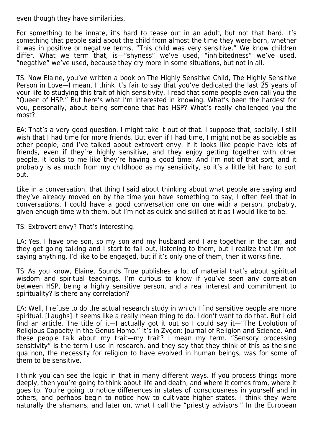even though they have similarities.

For something to be innate, it's hard to tease out in an adult, but not that hard. It's something that people said about the child from almost the time they were born, whether it was in positive or negative terms, "This child was very sensitive." We know children differ. What we term that, is—"shyness" we've used, "inhibitedness" we've used, "negative" we've used, because they cry more in some situations, but not in all.

TS: Now Elaine, you've written a book on The Highly Sensitive Child, The Highly Sensitive Person in Love—I mean, I think it's fair to say that you've dedicated the last 25 years of your life to studying this trait of high sensitivity. I read that some people even call you the "Queen of HSP." But here's what I'm interested in knowing. What's been the hardest for you, personally, about being someone that has HSP? What's really challenged you the most?

EA: That's a very good question. I might take it out of that. I suppose that, socially, I still wish that I had time for more friends. But even if I had time, I might not be as sociable as other people, and I've talked about extrovert envy. If it looks like people have lots of friends, even if they're highly sensitive, and they enjoy getting together with other people, it looks to me like they're having a good time. And I'm not of that sort, and it probably is as much from my childhood as my sensitivity, so it's a little bit hard to sort out.

Like in a conversation, that thing I said about thinking about what people are saying and they've already moved on by the time you have something to say, I often feel that in conversations. I could have a good conversation one on one with a person, probably, given enough time with them, but I'm not as quick and skilled at it as I would like to be.

TS: Extrovert envy? That's interesting.

EA: Yes. I have one son, so my son and my husband and I are together in the car, and they get going talking and I start to fall out, listening to them, but I realize that I'm not saying anything. I'd like to be engaged, but if it's only one of them, then it works fine.

TS: As you know, Elaine, Sounds True publishes a lot of material that's about spiritual wisdom and spiritual teachings. I'm curious to know if you've seen any correlation between HSP, being a highly sensitive person, and a real interest and commitment to spirituality? Is there any correlation?

EA: Well, I refuse to do the actual research study in which I find sensitive people are more spiritual. [Laughs] It seems like a really mean thing to do. I don't want to do that. But I did find an article. The title of it—I actually got it out so I could say it—"The Evolution of Religious Capacity in the Genus Homo." It's in Zygon: Journal of Religion and Science. And these people talk about my trait—my trait? I mean my term. "Sensory processing sensitivity" is the term I use in research, and they say that they think of this as the sine qua non, the necessity for religion to have evolved in human beings, was for some of them to be sensitive.

I think you can see the logic in that in many different ways. If you process things more deeply, then you're going to think about life and death, and where it comes from, where it goes to. You're going to notice differences in states of consciousness in yourself and in others, and perhaps begin to notice how to cultivate higher states. I think they were naturally the shamans, and later on, what I call the "priestly advisors." In the European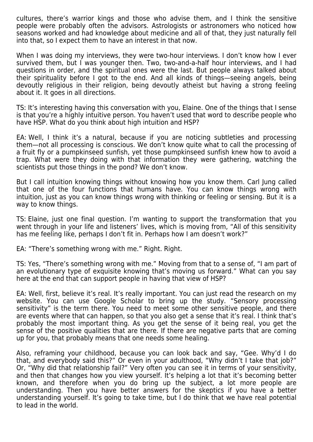cultures, there's warrior kings and those who advise them, and I think the sensitive people were probably often the advisors. Astrologists or astronomers who noticed how seasons worked and had knowledge about medicine and all of that, they just naturally fell into that, so I expect them to have an interest in that now.

When I was doing my interviews, they were two-hour interviews. I don't know how I ever survived them, but I was younger then. Two, two-and-a-half hour interviews, and I had questions in order, and the spiritual ones were the last. But people always talked about their spirituality before I got to the end. And all kinds of things—seeing angels, being devoutly religious in their religion, being devoutly atheist but having a strong feeling about it. It goes in all directions.

TS: It's interesting having this conversation with you, Elaine. One of the things that I sense is that you're a highly intuitive person. You haven't used that word to describe people who have HSP. What do you think about high intuition and HSP?

EA: Well, I think it's a natural, because if you are noticing subtleties and processing them—not all processing is conscious. We don't know quite what to call the processing of a fruit fly or a pumpkinseed sunfish, yet those pumpkinseed sunfish knew how to avoid a trap. What were they doing with that information they were gathering, watching the scientists put those things in the pond? We don't know.

But I call intuition knowing things without knowing how you know them. Carl Jung called that one of the four functions that humans have. You can know things wrong with intuition, just as you can know things wrong with thinking or feeling or sensing. But it is a way to know things.

TS: Elaine, just one final question. I'm wanting to support the transformation that you went through in your life and listeners' lives, which is moving from, "All of this sensitivity has me feeling like, perhaps I don't fit in. Perhaps how I am doesn't work?"

EA: "There's something wrong with me." Right. Right.

TS: Yes, "There's something wrong with me." Moving from that to a sense of, "I am part of an evolutionary type of exquisite knowing that's moving us forward." What can you say here at the end that can support people in having that view of HSP?

EA: Well, first, believe it's real. It's really important. You can just read the research on my website. You can use Google Scholar to bring up the study. "Sensory processing sensitivity" is the term there. You need to meet some other sensitive people, and there are events where that can happen, so that you also get a sense that it's real. I think that's probably the most important thing. As you get the sense of it being real, you get the sense of the positive qualities that are there. If there are negative parts that are coming up for you, that probably means that one needs some healing.

Also, reframing your childhood, because you can look back and say, "Gee. Why'd I do that, and everybody said this?" Or even in your adulthood, "Why didn't I take that job?" Or, "Why did that relationship fail?" Very often you can see it in terms of your sensitivity, and then that changes how you view yourself. It's helping a lot that it's becoming better known, and therefore when you do bring up the subject, a lot more people are understanding. Then you have better answers for the skeptics if you have a better understanding yourself. It's going to take time, but I do think that we have real potential to lead in the world.